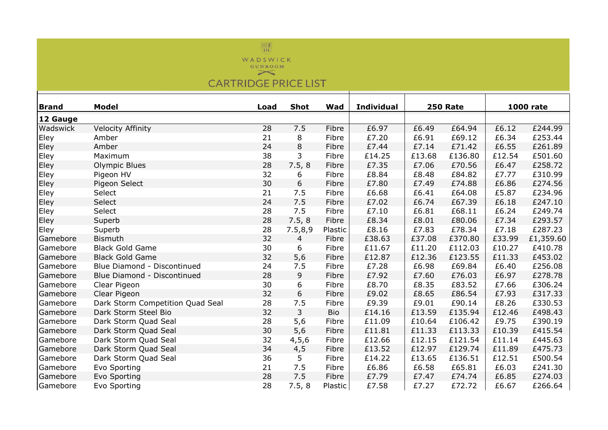

**CARTRIDGE PRICE LIST** 

| <b>Brand</b> | <b>Model</b>                     | Load | <b>Shot</b> | Wad     | <b>Individual</b> | <b>250 Rate</b> |         | <b>1000 rate</b> |           |
|--------------|----------------------------------|------|-------------|---------|-------------------|-----------------|---------|------------------|-----------|
| 12 Gauge     |                                  |      |             |         |                   |                 |         |                  |           |
| Wadswick     | <b>Velocity Affinity</b>         | 28   | 7.5         | Fibre   | £6.97             | £6.49           | £64.94  | £6.12            | £244.99   |
| Eley         | Amber                            | 21   | 8           | Fibre   | £7.20             | £6.91           | £69.12  | £6.34            | £253.44   |
| Eley         | Amber                            | 24   | 8           | Fibre   | £7.44             | £7.14           | £71.42  | £6.55            | £261.89   |
| Eley         | Maximum                          | 38   | 3           | Fibre   | £14.25            | £13.68          | £136.80 | £12.54           | £501.60   |
| Eley         | Olympic Blues                    | 28   | 7.5, 8      | Fibre   | £7.35             | £7.06           | £70.56  | £6.47            | £258.72   |
| Eley         | Pigeon HV                        | 32   | 6           | Fibre   | £8.84             | £8.48           | £84.82  | £7.77            | £310.99   |
| Eley         | Pigeon Select                    | 30   | 6           | Fibre   | £7.80             | £7.49           | £74.88  | £6.86            | £274.56   |
| Eley         | Select                           | 21   | 7.5         | Fibre   | £6.68             | £6.41           | £64.08  | £5.87            | £234.96   |
| Eley         | Select                           | 24   | 7.5         | Fibre   | £7.02             | £6.74           | £67.39  | £6.18            | £247.10   |
| Eley         | Select                           | 28   | 7.5         | Fibre   | £7.10             | £6.81           | £68.11  | £6.24            | £249.74   |
| Eley         | Superb                           | 28   | 7.5, 8      | Fibre   | £8.34             | £8.01           | £80.06  | £7.34            | £293.57   |
| Eley         | Superb                           | 28   | 7.5,8,9     | Plastic | £8.16             | £7.83           | £78.34  | £7.18            | £287.23   |
| Gamebore     | <b>Bismuth</b>                   | 32   | 4           | Fibre   | £38.63            | £37.08          | £370.80 | £33.99           | £1,359.60 |
| Gamebore     | <b>Black Gold Game</b>           | 30   | 6           | Fibre   | £11.67            | £11.20          | £112.03 | £10.27           | £410.78   |
| Gamebore     | <b>Black Gold Game</b>           | 32   | 5,6         | Fibre   | £12.87            | £12.36          | £123.55 | £11.33           | £453.02   |
| Gamebore     | Blue Diamond - Discontinued      | 24   | 7.5         | Fibre   | £7.28             | £6.98           | £69.84  | £6.40            | £256.08   |
| Gamebore     | Blue Diamond - Discontinued      | 28   | 9           | Fibre   | £7.92             | £7.60           | £76.03  | £6.97            | £278.78   |
| Gamebore     | Clear Pigeon                     | 30   | 6           | Fibre   | £8.70             | £8.35           | £83.52  | £7.66            | £306.24   |
| Gamebore     | Clear Pigeon                     | 32   | 6           | Fibre   | £9.02             | £8.65           | £86.54  | £7.93            | £317.33   |
| Gamebore     | Dark Storm Competition Quad Seal | 28   | 7.5         | Fibre   | £9.39             | £9.01           | £90.14  | £8.26            | £330.53   |
| Gamebore     | Dark Storm Steel Bio             | 32   | 3           | Bio     | £14.16            | £13.59          | £135.94 | £12.46           | £498.43   |
| Gamebore     | Dark Storm Quad Seal             | 28   | 5,6         | Fibre   | £11.09            | £10.64          | £106.42 | £9.75            | £390.19   |
| Gamebore     | Dark Storm Quad Seal             | 30   | 5,6         | Fibre   | £11.81            | £11.33          | £113.33 | £10.39           | £415.54   |
| Gamebore     | Dark Storm Quad Seal             | 32   | 4, 5, 6     | Fibre   | £12.66            | £12.15          | £121.54 | £11.14           | £445.63   |
| Gamebore     | Dark Storm Quad Seal             | 34   | 4,5         | Fibre   | £13.52            | £12.97          | £129.74 | £11.89           | £475.73   |
| Gamebore     | Dark Storm Quad Seal             | 36   | 5           | Fibre   | £14.22            | £13.65          | £136.51 | £12.51           | £500.54   |
| Gamebore     | Evo Sporting                     | 21   | 7.5         | Fibre   | £6.86             | £6.58           | £65.81  | £6.03            | £241.30   |
| Gamebore     | Evo Sporting                     | 28   | 7.5         | Fibre   | £7.79             | £7.47           | £74.74  | £6.85            | £274.03   |
| Gamebore     | Evo Sporting                     | 28   | 7.5, 8      | Plastic | £7.58             | £7.27           | £72.72  | £6.67            | £266.64   |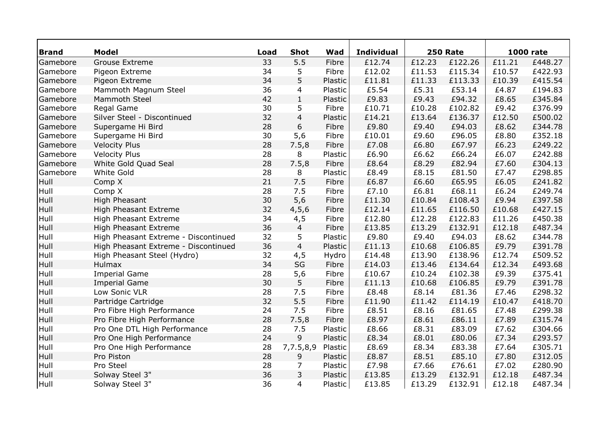| <b>Brand</b> | <b>Model</b>                         | Load | <b>Shot</b>    | Wad     | <b>Individual</b> | <b>250 Rate</b> |         |        | <b>1000 rate</b> |
|--------------|--------------------------------------|------|----------------|---------|-------------------|-----------------|---------|--------|------------------|
| Gamebore     | <b>Grouse Extreme</b>                | 33   | 5.5            | Fibre   | £12.74            | £12.23          | £122.26 | £11.21 | £448.27          |
| Gamebore     | Pigeon Extreme                       | 34   | 5              | Fibre   | £12.02            | £11.53          | £115.34 | £10.57 | £422.93          |
| Gamebore     | Pigeon Extreme                       | 34   | 5              | Plastic | £11.81            | £11.33          | £113.33 | £10.39 | £415.54          |
| Gamebore     | Mammoth Magnum Steel                 | 36   | 4              | Plastic | £5.54             | £5.31           | £53.14  | £4.87  | £194.83          |
| Gamebore     | Mammoth Steel                        | 42   | $\mathbf{1}$   | Plastic | £9.83             | £9.43           | £94.32  | £8.65  | £345.84          |
| Gamebore     | Regal Game                           | 30   | 5              | Fibre   | £10.71            | £10.28          | £102.82 | £9.42  | £376.99          |
| Gamebore     | Silver Steel - Discontinued          | 32   | $\overline{4}$ | Plastic | £14.21            | £13.64          | £136.37 | £12.50 | £500.02          |
| Gamebore     | Supergame Hi Bird                    | 28   | 6              | Fibre   | £9.80             | £9.40           | £94.03  | £8.62  | £344.78          |
| Gamebore     | Supergame Hi Bird                    | 30   | 5,6            | Fibre   | £10.01            | £9.60           | £96.05  | £8.80  | £352.18          |
| Gamebore     | <b>Velocity Plus</b>                 | 28   | 7.5,8          | Fibre   | £7.08             | £6.80           | £67.97  | £6.23  | £249.22          |
| Gamebore     | <b>Velocity Plus</b>                 | 28   | 8              | Plastic | £6.90             | £6.62           | £66.24  | £6.07  | £242.88          |
| Gamebore     | White Gold Quad Seal                 | 28   | 7.5,8          | Fibre   | £8.64             | £8.29           | £82.94  | £7.60  | £304.13          |
| Gamebore     | White Gold                           | 28   | 8              | Plastic | £8.49             | £8.15           | £81.50  | £7.47  | £298.85          |
| Hull         | Comp X                               | 21   | 7.5            | Fibre   | £6.87             | £6.60           | £65.95  | £6.05  | £241.82          |
| Hull         | Comp X                               | 28   | 7.5            | Fibre   | £7.10             | £6.81           | £68.11  | £6.24  | £249.74          |
| Hull         | <b>High Pheasant</b>                 | 30   | 5,6            | Fibre   | £11.30            | £10.84          | £108.43 | £9.94  | £397.58          |
| Hull         | High Pheasant Extreme                | 32   | 4, 5, 6        | Fibre   | £12.14            | £11.65          | £116.50 | £10.68 | £427.15          |
| Hull         | High Pheasant Extreme                | 34   | 4,5            | Fibre   | £12.80            | £12.28          | £122.83 | £11.26 | £450.38          |
| Hull         | High Pheasant Extreme                | 36   | $\overline{4}$ | Fibre   | £13.85            | £13.29          | £132.91 | £12.18 | £487.34          |
| Hull         | High Pheasant Extreme - Discontinued | 32   | 5              | Plastic | £9.80             | £9.40           | £94.03  | £8.62  | £344.78          |
| Hull         | High Pheasant Extreme - Discontinued | 36   | $\overline{4}$ | Plastic | £11.13            | £10.68          | £106.85 | £9.79  | £391.78          |
| Hull         | High Pheasant Steel (Hydro)          | 32   | 4,5            | Hydro   | £14.48            | £13.90          | £138.96 | £12.74 | £509.52          |
| Hull         | Hulmax                               | 34   | SG             | Fibre   | £14.03            | £13.46          | £134.64 | £12.34 | £493.68          |
| Hull         | <b>Imperial Game</b>                 | 28   | 5,6            | Fibre   | £10.67            | £10.24          | £102.38 | £9.39  | £375.41          |
| Hull         | <b>Imperial Game</b>                 | 30   | 5              | Fibre   | £11.13            | £10.68          | £106.85 | £9.79  | £391.78          |
| Hull         | Low Sonic VLR                        | 28   | 7.5            | Fibre   | £8.48             | £8.14           | £81.36  | £7.46  | £298.32          |
| Hull         | Partridge Cartridge                  | 32   | 5.5            | Fibre   | £11.90            | £11.42          | £114.19 | £10.47 | £418.70          |
| Hull         | Pro Fibre High Performance           | 24   | 7.5            | Fibre   | £8.51             | £8.16           | £81.65  | £7.48  | £299.38          |
| Hull         | Pro Fibre High Performance           | 28   | 7.5,8          | Fibre   | £8.97             | £8.61           | £86.11  | £7.89  | £315.74          |
| Hull         | Pro One DTL High Performance         | 28   | 7.5            | Plastic | £8.66             | £8.31           | £83.09  | £7.62  | £304.66          |
| Hull         | Pro One High Performance             | 24   | $\mathsf 9$    | Plastic | £8.34             | £8.01           | £80.06  | £7.34  | £293.57          |
| Hull         | Pro One High Performance             | 28   | 7,7.5,8,9      | Plastic | £8.69             | £8.34           | £83.38  | £7.64  | £305.71          |
| Hull         | Pro Piston                           | 28   | 9              | Plastic | £8.87             | £8.51           | £85.10  | £7.80  | £312.05          |
| Hull         | Pro Steel                            | 28   | 7              | Plastic | £7.98             | £7.66           | £76.61  | £7.02  | £280.90          |
| Hull         | Solway Steel 3"                      | 36   | 3              | Plastic | £13.85            | £13.29          | £132.91 | £12.18 | £487.34          |
| Hull         | Solway Steel 3"                      | 36   | $\overline{4}$ | Plastic | £13.85            | £13.29          | £132.91 | £12.18 | £487.34          |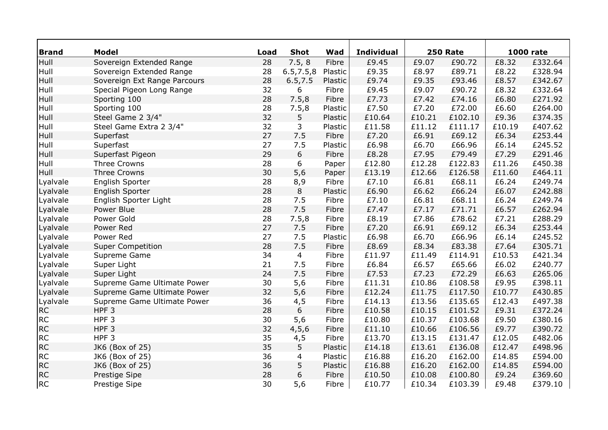| <b>Brand</b> | <b>Model</b>                 | Load | <b>Shot</b> | Wad     | <b>Individual</b> | <b>250 Rate</b> |         |        | <b>1000 rate</b> |
|--------------|------------------------------|------|-------------|---------|-------------------|-----------------|---------|--------|------------------|
| Hull         | Sovereign Extended Range     | 28   | 7.5, 8      | Fibre   | £9.45             | £9.07           | £90.72  | £8.32  | £332.64          |
| Hull         | Sovereign Extended Range     | 28   | 6.5, 7.5, 8 | Plastic | £9.35             | £8.97           | £89.71  | £8.22  | £328.94          |
| Hull         | Sovereign Ext Range Parcours | 28   | 6.5, 7.5    | Plastic | £9.74             | £9.35           | £93.46  | £8.57  | £342.67          |
| Hull         | Special Pigeon Long Range    | 32   | 6           | Fibre   | £9.45             | £9.07           | £90.72  | £8.32  | £332.64          |
| Hull         | Sporting 100                 | 28   | 7.5,8       | Fibre   | £7.73             | £7.42           | £74.16  | £6.80  | £271.92          |
| Hull         | Sporting 100                 | 28   | 7.5,8       | Plastic | £7.50             | £7.20           | £72.00  | £6.60  | £264.00          |
| Hull         | Steel Game 2 3/4"            | 32   | 5           | Plastic | £10.64            | £10.21          | £102.10 | £9.36  | £374.35          |
| Hull         | Steel Game Extra 2 3/4"      | 32   | 3           | Plastic | £11.58            | £11.12          | £111.17 | £10.19 | £407.62          |
| Hull         | Superfast                    | 27   | 7.5         | Fibre   | £7.20             | £6.91           | £69.12  | £6.34  | £253.44          |
| Hull         | Superfast                    | 27   | 7.5         | Plastic | £6.98             | £6.70           | £66.96  | £6.14  | £245.52          |
| Hull         | Superfast Pigeon             | 29   | $6\,$       | Fibre   | £8.28             | £7.95           | £79.49  | £7.29  | £291.46          |
| Hull         | Three Crowns                 | 28   | 6           | Paper   | £12.80            | £12.28          | £122.83 | £11.26 | £450.38          |
| Hull         | <b>Three Crowns</b>          | 30   | 5,6         | Paper   | £13.19            | £12.66          | £126.58 | £11.60 | £464.11          |
| Lyalvale     | English Sporter              | 28   | 8,9         | Fibre   | £7.10             | £6.81           | £68.11  | £6.24  | £249.74          |
| Lyalvale     | English Sporter              | 28   | 8           | Plastic | £6.90             | £6.62           | £66.24  | £6.07  | £242.88          |
| Lyalvale     | English Sporter Light        | 28   | 7.5         | Fibre   | £7.10             | £6.81           | £68.11  | £6.24  | £249.74          |
| Lyalvale     | Power Blue                   | 28   | 7.5         | Fibre   | £7.47             | £7.17           | £71.71  | £6.57  | £262.94          |
| Lyalvale     | Power Gold                   | 28   | 7.5,8       | Fibre   | £8.19             | £7.86           | £78.62  | £7.21  | £288.29          |
| Lyalvale     | Power Red                    | 27   | 7.5         | Fibre   | £7.20             | £6.91           | £69.12  | £6.34  | £253.44          |
| Lyalvale     | Power Red                    | 27   | 7.5         | Plastic | £6.98             | £6.70           | £66.96  | £6.14  | £245.52          |
| Lyalvale     | <b>Super Competition</b>     | 28   | 7.5         | Fibre   | £8.69             | £8.34           | £83.38  | £7.64  | £305.71          |
| Lyalvale     | Supreme Game                 | 34   | 4           | Fibre   | £11.97            | £11.49          | £114.91 | £10.53 | £421.34          |
| Lyalvale     | Super Light                  | 21   | 7.5         | Fibre   | £6.84             | £6.57           | £65.66  | £6.02  | £240.77          |
| Lyalvale     | Super Light                  | 24   | 7.5         | Fibre   | £7.53             | £7.23           | £72.29  | £6.63  | £265.06          |
| Lyalvale     | Supreme Game Ultimate Power  | 30   | 5,6         | Fibre   | £11.31            | £10.86          | £108.58 | £9.95  | £398.11          |
| Lyalvale     | Supreme Game Ultimate Power  | 32   | 5,6         | Fibre   | £12.24            | £11.75          | £117.50 | £10.77 | £430.85          |
| Lyalvale     | Supreme Game Ultimate Power  | 36   | 4,5         | Fibre   | £14.13            | £13.56          | £135.65 | £12.43 | £497.38          |
| <b>RC</b>    | HPF <sub>3</sub>             | 28   | 6           | Fibre   | £10.58            | £10.15          | £101.52 | £9.31  | £372.24          |
| <b>RC</b>    | HPF <sub>3</sub>             | 30   | 5,6         | Fibre   | £10.80            | £10.37          | £103.68 | £9.50  | £380.16          |
| <b>RC</b>    | HPF <sub>3</sub>             | 32   | 4, 5, 6     | Fibre   | £11.10            | £10.66          | £106.56 | £9.77  | £390.72          |
| <b>RC</b>    | HPF <sub>3</sub>             | 35   | 4,5         | Fibre   | £13.70            | £13.15          | £131.47 | £12.05 | £482.06          |
| <b>RC</b>    | JK6 (Box of 25)              | 35   | 5           | Plastic | £14.18            | £13.61          | £136.08 | £12.47 | £498.96          |
| <b>RC</b>    | JK6 (Box of 25)              | 36   | 4           | Plastic | £16.88            | £16.20          | £162.00 | £14.85 | £594.00          |
| <b>RC</b>    | JK6 (Box of 25)              | 36   | 5           | Plastic | £16.88            | £16.20          | £162.00 | £14.85 | £594.00          |
| <b>RC</b>    | Prestige Sipe                | 28   | 6           | Fibre   | £10.50            | £10.08          | £100.80 | £9.24  | £369.60          |
| <b>RC</b>    | Prestige Sipe                | 30   | 5,6         | Fibre   | £10.77            | £10.34          | £103.39 | £9.48  | £379.10          |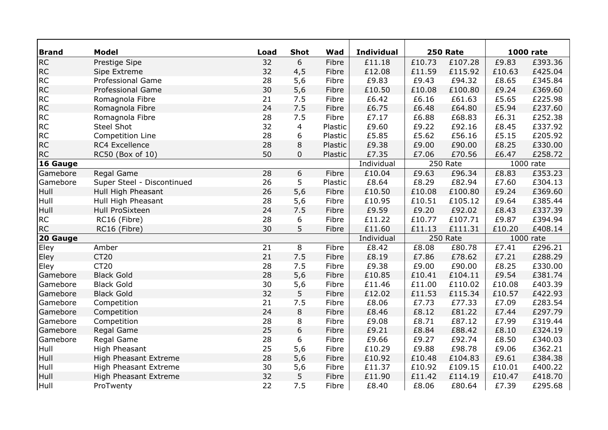| <b>Brand</b> | <b>Model</b>                 | Load            | <b>Shot</b>    | Wad     | <b>Individual</b> | <b>250 Rate</b> |          |           | <b>1000 rate</b> |
|--------------|------------------------------|-----------------|----------------|---------|-------------------|-----------------|----------|-----------|------------------|
| <b>RC</b>    | Prestige Sipe                | 32              | 6              | Fibre   | £11.18            | £10.73          | £107.28  | £9.83     | £393.36          |
| <b>RC</b>    | Sipe Extreme                 | 32              | 4,5            | Fibre   | £12.08            | £11.59          | £115.92  | £10.63    | £425.04          |
| <b>RC</b>    | <b>Professional Game</b>     | 28              | 5,6            | Fibre   | £9.83             | £9.43           | £94.32   | £8.65     | £345.84          |
| <b>RC</b>    | <b>Professional Game</b>     | 30              | 5,6            | Fibre   | £10.50            | £10.08          | £100.80  | £9.24     | £369.60          |
| <b>RC</b>    | Romagnola Fibre              | 21              | 7.5            | Fibre   | £6.42             | £6.16           | £61.63   | £5.65     | £225.98          |
| <b>RC</b>    | Romagnola Fibre              | 24              | 7.5            | Fibre   | £6.75             | £6.48           | £64.80   | £5.94     | £237.60          |
| <b>RC</b>    | Romagnola Fibre              | 28              | 7.5            | Fibre   | £7.17             | £6.88           | £68.83   | £6.31     | £252.38          |
| <b>RC</b>    | <b>Steel Shot</b>            | 32              | $\overline{4}$ | Plastic | £9.60             | £9.22           | £92.16   | £8.45     | £337.92          |
| <b>RC</b>    | Competition Line             | 28              | 6              | Plastic | £5.85             | £5.62           | £56.16   | £5.15     | £205.92          |
| <b>RC</b>    | RC4 Excellence               | 28              | 8              | Plastic | £9.38             | £9.00           | £90.00   | £8.25     | £330.00          |
| <b>RC</b>    | RC50 (Box of 10)             | 50              | 0              | Plastic | £7.35             | £7.06           | £70.56   | £6.47     | £258.72          |
| 16 Gauge     |                              |                 |                |         | Individual        |                 | 250 Rate | 1000 rate |                  |
| Gamebore     | Regal Game                   | $\overline{28}$ | 6              | Fibre   | £10.04            | £9.63           | £96.34   | £8.83     | £353.23          |
| Gamebore     | Super Steel - Discontinued   | 26              | 5              | Plastic | £8.64             | £8.29           | £82.94   | £7.60     | £304.13          |
| Hull         | Hull High Pheasant           | 26              | 5,6            | Fibre   | £10.50            | £10.08          | £100.80  | £9.24     | £369.60          |
| Hull         | Hull High Pheasant           | 28              | 5,6            | Fibre   | £10.95            | £10.51          | £105.12  | £9.64     | £385.44          |
| Hull         | Hull ProSixteen              | 24              | 7.5            | Fibre   | £9.59             | £9.20           | £92.02   | £8.43     | £337.39          |
| <b>RC</b>    | RC16 (Fibre)                 | 28              | 6              | Fibre   | £11.22            | £10.77          | £107.71  | £9.87     | £394.94          |
| <b>RC</b>    | RC16 (Fibre)                 | 30              | 5              | Fibre   | £11.60            | £11.13          | £111.31  | £10.20    | £408.14          |
| 20 Gauge     |                              |                 |                |         | Individual        |                 | 250 Rate |           | 1000 rate        |
| Eley         | Amber                        | $\overline{21}$ | $\overline{8}$ | Fibre   | £8.42             | £8.08           | £80.78   | £7.41     | £296.21          |
| Eley         | <b>CT20</b>                  | 21              | 7.5            | Fibre   | £8.19             | £7.86           | £78.62   | £7.21     | £288.29          |
| Eley         | <b>CT20</b>                  | 28              | 7.5            | Fibre   | £9.38             | £9.00           | £90.00   | £8.25     | £330.00          |
| Gamebore     | <b>Black Gold</b>            | 28              | 5,6            | Fibre   | £10.85            | £10.41          | £104.11  | £9.54     | £381.74          |
| Gamebore     | <b>Black Gold</b>            | 30              | 5,6            | Fibre   | £11.46            | £11.00          | £110.02  | £10.08    | £403.39          |
| Gamebore     | <b>Black Gold</b>            | 32              | 5              | Fibre   | £12.02            | £11.53          | £115.34  | £10.57    | £422.93          |
| Gamebore     | Competition                  | 21              | 7.5            | Fibre   | £8.06             | £7.73           | £77.33   | £7.09     | £283.54          |
| Gamebore     | Competition                  | 24              | 8              | Fibre   | £8.46             | £8.12           | £81.22   | £7.44     | £297.79          |
| Gamebore     | Competition                  | 28              | 8              | Fibre   | £9.08             | £8.71           | £87.12   | £7.99     | £319.44          |
| Gamebore     | Regal Game                   | 25              | 6              | Fibre   | £9.21             | £8.84           | £88.42   | £8.10     | £324.19          |
| Gamebore     | Regal Game                   | 28              | 6              | Fibre   | £9.66             | £9.27           | £92.74   | £8.50     | £340.03          |
| Hull         | High Pheasant                | 25              | 5,6            | Fibre   | £10.29            | £9.88           | £98.78   | £9.06     | £362.21          |
| Hull         | <b>High Pheasant Extreme</b> | 28              | 5,6            | Fibre   | £10.92            | £10.48          | £104.83  | £9.61     | £384.38          |
| Hull         | High Pheasant Extreme        | 30              | 5,6            | Fibre   | £11.37            | £10.92          | £109.15  | £10.01    | £400.22          |
| Hull         | High Pheasant Extreme        | 32              | 5              | Fibre   | £11.90            | £11.42          | £114.19  | £10.47    | £418.70          |
| Hull         | ProTwenty                    | 22              | 7.5            | Fibre   | £8.40             | £8.06           | £80.64   | £7.39     | £295.68          |